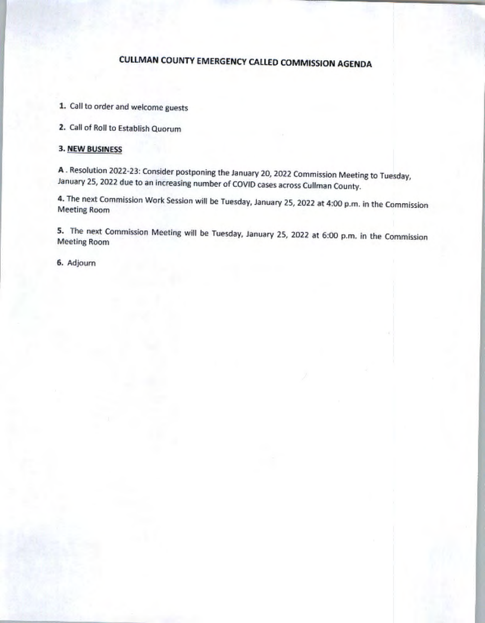# CULLMAN COUNTY EMERGENCY CALLED COMMISSION AGENDA

1. Call to order and welcome guests

2. Call of Roll to Establish Quorum

#### 3. NEW BUSINESS

A . Resolution 2022-23: Consider postponing the January 20, 2022 Commission Meeting to Tuesday, January 25, 2022 due to an increasing number of COVIO cases across Cullman County.

4. The next Commission Work Session will be Tuesday, January 25, 2022 at 4:00 p.m. in the Commission Meeting Room

5. The next Commission Meeting will be Tuesday, January 25, 2022 at 6:00 p.m. in the Commission Meeling Room

6, Adjourn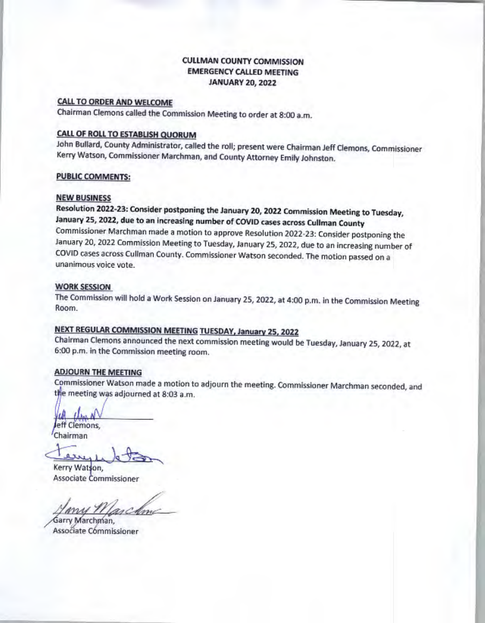## CULLMAN COUNTY COMMISSION EMERGENCY CALLED MEETING JANUARY 20, 2022

### CALL TO ORDER AND WELCOME

Chairman Clemons called the Commission Meeting to order at 8:00 a.m.

# CALL OF ROLL TO ESTABLISH QUORUM

John Bullard, County Administrator, called the roll; present were Chairman Jeff Clemons, Commissioner Kerry Watson, Commissioner Marchman, and County Attorney Emity Johnston.

#### PUBLIC COMMENTS:

#### NEW BUSINESS

Resolution 2022·23: Consider postponing the January 20, 2022 Commission Meeting to Tuesday, January 25, 2022, due to an increasing number of COVlD cases across Cullman County Commissioner Marchman made a motion to approve Resolution 2022-23: Consider postponing the January 20, 2022 Commission Meeting to Tuesday, January 25, 2022, due to an increasing number of COVIO cases across Cullman County. Commissioner Watson seconded. The motion passed on a unanimous voice vote.

#### WORK SESSION

The Commission will hold a Work Session on January 25, 2022, at 4:00 p.m. in the Commission Meeting Room.

# NEXT REGULAR COMMISSION MEETING TUESDAY, January 2S. 2022

Chairman Clemons announced the next commission meeting would be Tuesday, January 25, 2022, at 6:00 p.m. in the Commission meeting room.

#### ADJOURN THE MEETING

Commissioner Watson made a motion to adjourn the meeting. Commissioner Marchman seconded, and the meeting was adjourned at 8:03 a.m.

eff Clemons,

Chairman

Eurepe Chairman

Kerry Watson, Associate Commissioner

rschme

Garry Marchman, Associate Commissioner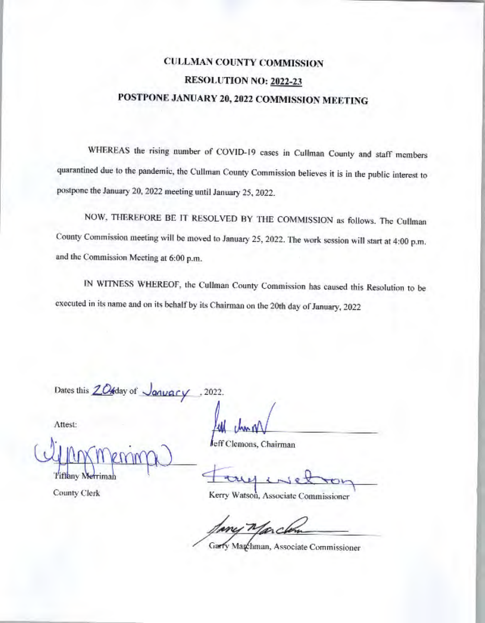# **CULLMAN COUNTY COMMISSION** RESOLUTION NO: 2022-23 POSTPONE JANUARY 20, 2022 COMMISSION MEETING

WHEREAS the rising number of COVID-19 cases in Cullman County and staff members quarantined due to the pandemic, the Cullman County Commission believes it is in the public interest to postpone the January 20, 2022 meeting until January 25, 2022.

NOW, THEREFORE BE IT RESOLVED BY THE COMMISSION as follows. The Cullman County Commission meeting will be moved to January 25, 2022. The work session will start at 4:00 p.m. and the Commission Meeting at 6:00 p.m.

IN WITNESS WHEREOF, the Cullman County Commission has caused this Resolution to be executed in its name and on its behalf by its Chairman on the 20th day of January, 2022

Dates this 20tday of January .2022.

Attest:

Tiffany Merriman

County Clerk

leff Clemons, Chairman

Kerry Watson, Associate Commissioner

Garry Magchman, Associate Commissioner